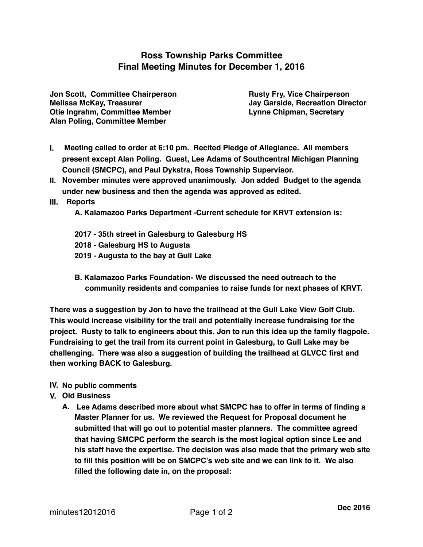## **Ross Township Parks Committee Final Meeting Minutes for December 1, 2016**

**Jon Scott, Committee Chairperson Fryetter Chairperson Rusty Fry, Vice Chairperson Melissa McKay, Treasurer Jay Garside, Recreation Director Otie Ingrahm, Committee Member Line Chipman, Secretary Alan Poling, Committee Member**

- **I. Meeting called to order at 6:10 pm. Recited Pledge of Allegiance. All members present except Alan Poling. Guest, Lee Adams of Southcentral Michigan Planning Council (SMCPC), and Paul Dykstra, Ross Township Supervisor.**
- **II. November minutes were approved unanimously. Jon added Budget to the agenda under new business and then the agenda was approved as edited.**
- **III. Reports**

**A. Kalamazoo Parks Department -Current schedule for KRVT extension is:**

- **2017 35th street in Galesburg to Galesburg HS**
- **2018 Galesburg HS to Augusta**
- **2019 Augusta to the bay at Gull Lake**
- **B. Kalamazoo Parks Foundation- We discussed the need outreach to the community residents and companies to raise funds for next phases of KRVT.**

**There was a suggestion by Jon to have the trailhead at the Gull Lake View Golf Club. This would increase visibility for the trail and potentially increase fundraising for the project. Rusty to talk to engineers about this. Jon to run this idea up the family flagpole. Fundraising to get the trail from its current point in Galesburg, to Gull Lake may be challenging. There was also a suggestion of building the trailhead at GLVCC first and then working BACK to Galesburg.**

- **IV. No public comments**
- **V. Old Business**
	- **A. Lee Adams described more about what SMCPC has to offer in terms of finding a Master Planner for us. We reviewed the Request for Proposal document he submitted that will go out to potential master planners. The committee agreed that having SMCPC perform the search is the most logical option since Lee and his staff have the expertise. The decision was also made that the primary web site to fill this position will be on SMCPC's web site and we can link to it. We also filled the following date in, on the proposal:**